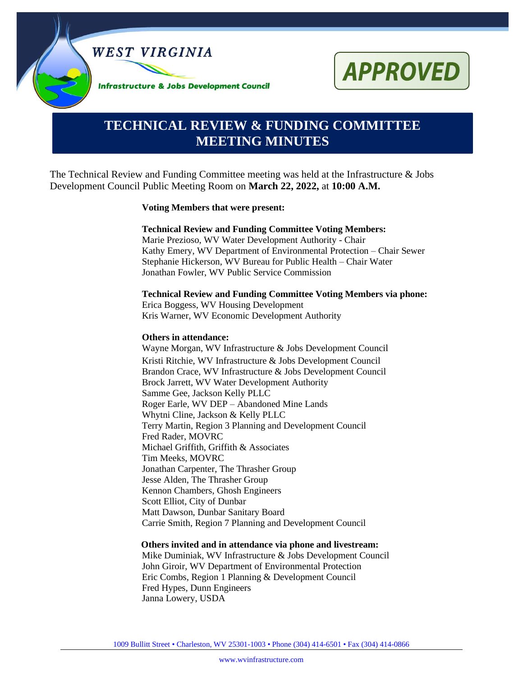



# **TECHNICAL REVIEW & FUNDING COMMITTEE MEETING MINUTES**

The Technical Review and Funding Committee meeting was held at the Infrastructure & Jobs Development Council Public Meeting Room on **March 22, 2022,** at **10:00 A.M.**

#### **Voting Members that were present:**

#### **Technical Review and Funding Committee Voting Members:**

Marie Prezioso, WV Water Development Authority - Chair Kathy Emery, WV Department of Environmental Protection – Chair Sewer Stephanie Hickerson, WV Bureau for Public Health – Chair Water Jonathan Fowler, WV Public Service Commission

#### **Technical Review and Funding Committee Voting Members via phone:**

Erica Boggess, WV Housing Development Kris Warner, WV Economic Development Authority

#### **Others in attendance:**

Wayne Morgan, WV Infrastructure & Jobs Development Council Kristi Ritchie, WV Infrastructure & Jobs Development Council Brandon Crace, WV Infrastructure & Jobs Development Council Brock Jarrett, WV Water Development Authority Samme Gee, Jackson Kelly PLLC Roger Earle, WV DEP – Abandoned Mine Lands Whytni Cline, Jackson & Kelly PLLC Terry Martin, Region 3 Planning and Development Council Fred Rader, MOVRC Michael Griffith, Griffith & Associates Tim Meeks, MOVRC Jonathan Carpenter, The Thrasher Group Jesse Alden, The Thrasher Group Kennon Chambers, Ghosh Engineers Scott Elliot, City of Dunbar Matt Dawson, Dunbar Sanitary Board Carrie Smith, Region 7 Planning and Development Council

#### **Others invited and in attendance via phone and livestream:**

Mike Duminiak, WV Infrastructure & Jobs Development Council John Giroir, WV Department of Environmental Protection Eric Combs, Region 1 Planning & Development Council Fred Hypes, Dunn Engineers Janna Lowery, USDA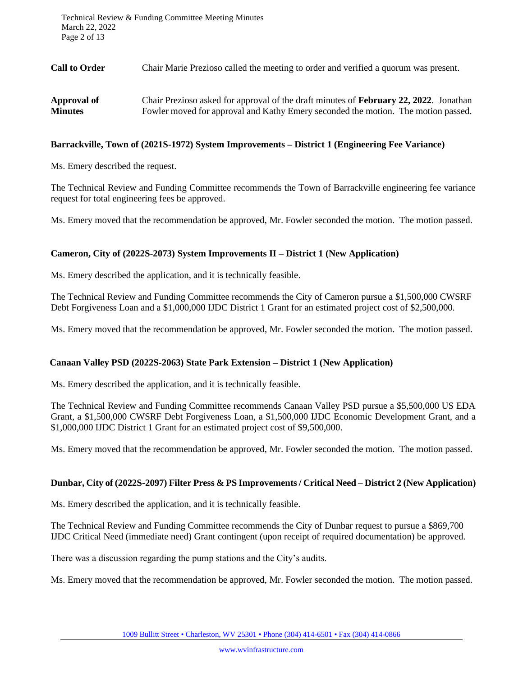**Call to Order** Chair Marie Prezioso called the meeting to order and verified a quorum was present.

| Approval of    | Chair Prezioso asked for approval of the draft minutes of <b>February 22, 2022</b> . Jonathan |
|----------------|-----------------------------------------------------------------------------------------------|
| <b>Minutes</b> | Fowler moved for approval and Kathy Emery seconded the motion. The motion passed.             |

# **Barrackville, Town of (2021S-1972) System Improvements – District 1 (Engineering Fee Variance)**

Ms. Emery described the request.

The Technical Review and Funding Committee recommends the Town of Barrackville engineering fee variance request for total engineering fees be approved.

Ms. Emery moved that the recommendation be approved, Mr. Fowler seconded the motion. The motion passed.

# **Cameron, City of (2022S-2073) System Improvements II – District 1 (New Application)**

Ms. Emery described the application, and it is technically feasible.

The Technical Review and Funding Committee recommends the City of Cameron pursue a \$1,500,000 CWSRF Debt Forgiveness Loan and a \$1,000,000 IJDC District 1 Grant for an estimated project cost of \$2,500,000.

Ms. Emery moved that the recommendation be approved, Mr. Fowler seconded the motion. The motion passed.

# **Canaan Valley PSD (2022S-2063) State Park Extension – District 1 (New Application)**

Ms. Emery described the application, and it is technically feasible.

The Technical Review and Funding Committee recommends Canaan Valley PSD pursue a \$5,500,000 US EDA Grant, a \$1,500,000 CWSRF Debt Forgiveness Loan, a \$1,500,000 IJDC Economic Development Grant, and a \$1,000,000 IJDC District 1 Grant for an estimated project cost of \$9,500,000.

Ms. Emery moved that the recommendation be approved, Mr. Fowler seconded the motion. The motion passed.

# **Dunbar, City of (2022S-2097) Filter Press & PS Improvements / Critical Need – District 2 (New Application)**

Ms. Emery described the application, and it is technically feasible.

The Technical Review and Funding Committee recommends the City of Dunbar request to pursue a \$869,700 IJDC Critical Need (immediate need) Grant contingent (upon receipt of required documentation) be approved.

There was a discussion regarding the pump stations and the City's audits.

Ms. Emery moved that the recommendation be approved, Mr. Fowler seconded the motion. The motion passed.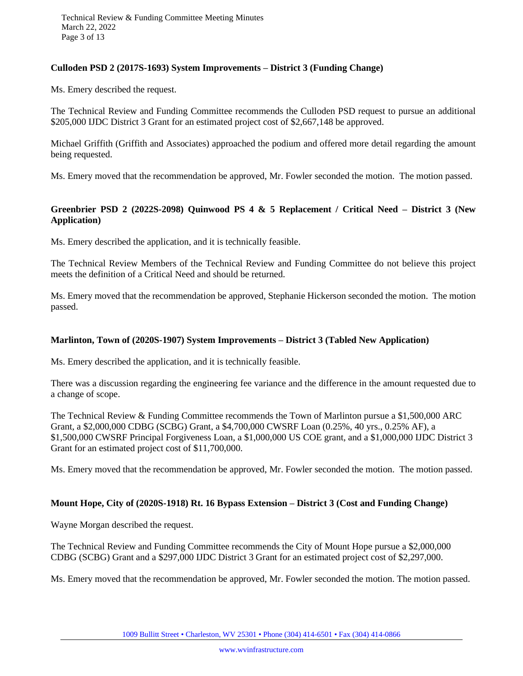# **Culloden PSD 2 (2017S-1693) System Improvements – District 3 (Funding Change)**

Ms. Emery described the request.

The Technical Review and Funding Committee recommends the Culloden PSD request to pursue an additional \$205,000 IJDC District 3 Grant for an estimated project cost of \$2,667,148 be approved.

Michael Griffith (Griffith and Associates) approached the podium and offered more detail regarding the amount being requested.

Ms. Emery moved that the recommendation be approved, Mr. Fowler seconded the motion. The motion passed.

# **Greenbrier PSD 2 (2022S-2098) Quinwood PS 4 & 5 Replacement / Critical Need – District 3 (New Application)**

Ms. Emery described the application, and it is technically feasible.

The Technical Review Members of the Technical Review and Funding Committee do not believe this project meets the definition of a Critical Need and should be returned.

Ms. Emery moved that the recommendation be approved, Stephanie Hickerson seconded the motion. The motion passed.

# **Marlinton, Town of (2020S-1907) System Improvements – District 3 (Tabled New Application)**

Ms. Emery described the application, and it is technically feasible.

There was a discussion regarding the engineering fee variance and the difference in the amount requested due to a change of scope.

The Technical Review & Funding Committee recommends the Town of Marlinton pursue a \$1,500,000 ARC Grant, a \$2,000,000 CDBG (SCBG) Grant, a \$4,700,000 CWSRF Loan (0.25%, 40 yrs., 0.25% AF), a \$1,500,000 CWSRF Principal Forgiveness Loan, a \$1,000,000 US COE grant, and a \$1,000,000 IJDC District 3 Grant for an estimated project cost of \$11,700,000.

Ms. Emery moved that the recommendation be approved, Mr. Fowler seconded the motion. The motion passed.

# **Mount Hope, City of (2020S-1918) Rt. 16 Bypass Extension – District 3 (Cost and Funding Change)**

Wayne Morgan described the request.

The Technical Review and Funding Committee recommends the City of Mount Hope pursue a \$2,000,000 CDBG (SCBG) Grant and a \$297,000 IJDC District 3 Grant for an estimated project cost of \$2,297,000.

Ms. Emery moved that the recommendation be approved, Mr. Fowler seconded the motion. The motion passed.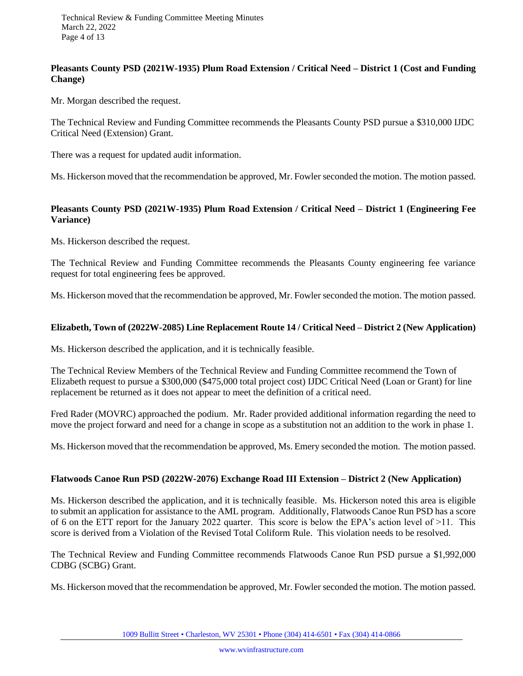# **Pleasants County PSD (2021W-1935) Plum Road Extension / Critical Need – District 1 (Cost and Funding Change)**

Mr. Morgan described the request.

The Technical Review and Funding Committee recommends the Pleasants County PSD pursue a \$310,000 IJDC Critical Need (Extension) Grant.

There was a request for updated audit information.

Ms. Hickerson moved that the recommendation be approved, Mr. Fowler seconded the motion. The motion passed.

# **Pleasants County PSD (2021W-1935) Plum Road Extension / Critical Need – District 1 (Engineering Fee Variance)**

Ms. Hickerson described the request.

The Technical Review and Funding Committee recommends the Pleasants County engineering fee variance request for total engineering fees be approved.

Ms. Hickerson moved that the recommendation be approved, Mr. Fowler seconded the motion. The motion passed.

# **Elizabeth, Town of (2022W-2085) Line Replacement Route 14 / Critical Need – District 2 (New Application)**

Ms. Hickerson described the application, and it is technically feasible.

The Technical Review Members of the Technical Review and Funding Committee recommend the Town of Elizabeth request to pursue a \$300,000 (\$475,000 total project cost) IJDC Critical Need (Loan or Grant) for line replacement be returned as it does not appear to meet the definition of a critical need.

Fred Rader (MOVRC) approached the podium. Mr. Rader provided additional information regarding the need to move the project forward and need for a change in scope as a substitution not an addition to the work in phase 1.

Ms. Hickerson moved that the recommendation be approved, Ms. Emery seconded the motion. The motion passed.

# **Flatwoods Canoe Run PSD (2022W-2076) Exchange Road III Extension – District 2 (New Application)**

Ms. Hickerson described the application, and it is technically feasible. Ms. Hickerson noted this area is eligible to submit an application for assistance to the AML program. Additionally, Flatwoods Canoe Run PSD has a score of 6 on the ETT report for the January 2022 quarter. This score is below the EPA's action level of  $>11$ . This score is derived from a Violation of the Revised Total Coliform Rule. This violation needs to be resolved.

The Technical Review and Funding Committee recommends Flatwoods Canoe Run PSD pursue a \$1,992,000 CDBG (SCBG) Grant.

Ms. Hickerson moved that the recommendation be approved, Mr. Fowler seconded the motion. The motion passed.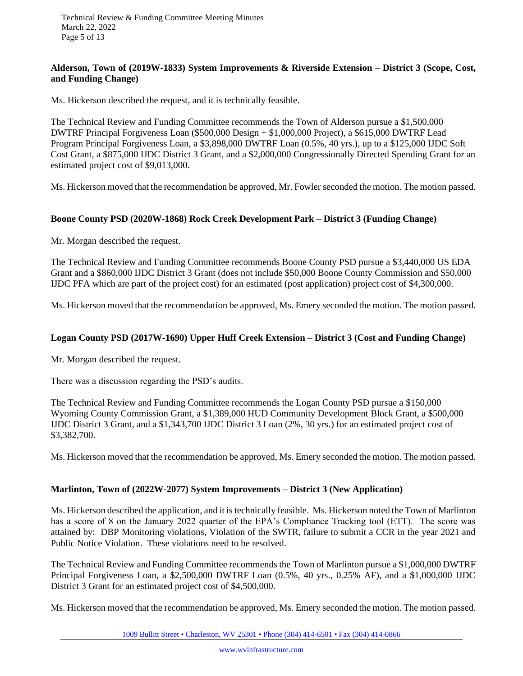# **Alderson, Town of (2019W-1833) System Improvements & Riverside Extension – District 3 (Scope, Cost, and Funding Change)**

Ms. Hickerson described the request, and it is technically feasible.

The Technical Review and Funding Committee recommends the Town of Alderson pursue a \$1,500,000 DWTRF Principal Forgiveness Loan (\$500,000 Design + \$1,000,000 Project), a \$615,000 DWTRF Lead Program Principal Forgiveness Loan, a \$3,898,000 DWTRF Loan (0.5%, 40 yrs.), up to a \$125,000 IJDC Soft Cost Grant, a \$875,000 IJDC District 3 Grant, and a \$2,000,000 Congressionally Directed Spending Grant for an estimated project cost of \$9,013,000.

Ms. Hickerson moved that the recommendation be approved, Mr. Fowler seconded the motion. The motion passed.

# **Boone County PSD (2020W-1868) Rock Creek Development Park – District 3 (Funding Change)**

Mr. Morgan described the request.

The Technical Review and Funding Committee recommends Boone County PSD pursue a \$3,440,000 US EDA Grant and a \$860,000 IJDC District 3 Grant (does not include \$50,000 Boone County Commission and \$50,000 IJDC PFA which are part of the project cost) for an estimated (post application) project cost of \$4,300,000.

Ms. Hickerson moved that the recommendation be approved, Ms. Emery seconded the motion. The motion passed.

# **Logan County PSD (2017W-1690) Upper Huff Creek Extension – District 3 (Cost and Funding Change)**

Mr. Morgan described the request.

There was a discussion regarding the PSD's audits.

The Technical Review and Funding Committee recommends the Logan County PSD pursue a \$150,000 Wyoming County Commission Grant, a \$1,389,000 HUD Community Development Block Grant, a \$500,000 IJDC District 3 Grant, and a \$1,343,700 IJDC District 3 Loan (2%, 30 yrs.) for an estimated project cost of \$3,382,700.

Ms. Hickerson moved that the recommendation be approved, Ms. Emery seconded the motion. The motion passed.

# **Marlinton, Town of (2022W-2077) System Improvements – District 3 (New Application)**

Ms. Hickerson described the application, and it is technically feasible. Ms. Hickerson noted the Town of Marlinton has a score of 8 on the January 2022 quarter of the EPA's Compliance Tracking tool (ETT). The score was attained by: DBP Monitoring violations, Violation of the SWTR, failure to submit a CCR in the year 2021 and Public Notice Violation. These violations need to be resolved.

The Technical Review and Funding Committee recommends the Town of Marlinton pursue a \$1,000,000 DWTRF Principal Forgiveness Loan, a \$2,500,000 DWTRF Loan (0.5%, 40 yrs., 0.25% AF), and a \$1,000,000 IJDC District 3 Grant for an estimated project cost of \$4,500,000.

Ms. Hickerson moved that the recommendation be approved, Ms. Emery seconded the motion. The motion passed.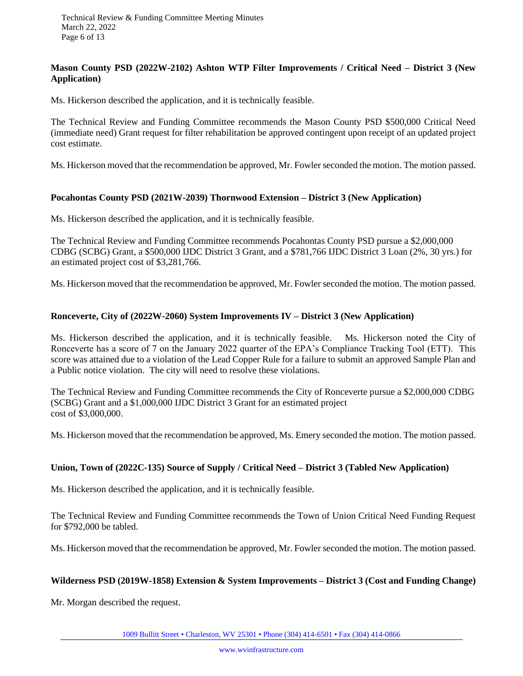# **Mason County PSD (2022W-2102) Ashton WTP Filter Improvements / Critical Need – District 3 (New Application)**

Ms. Hickerson described the application, and it is technically feasible.

The Technical Review and Funding Committee recommends the Mason County PSD \$500,000 Critical Need (immediate need) Grant request for filter rehabilitation be approved contingent upon receipt of an updated project cost estimate.

Ms. Hickerson moved that the recommendation be approved, Mr. Fowler seconded the motion. The motion passed.

# **Pocahontas County PSD (2021W-2039) Thornwood Extension – District 3 (New Application)**

Ms. Hickerson described the application, and it is technically feasible.

The Technical Review and Funding Committee recommends Pocahontas County PSD pursue a \$2,000,000 CDBG (SCBG) Grant, a \$500,000 IJDC District 3 Grant, and a \$781,766 IJDC District 3 Loan (2%, 30 yrs.) for an estimated project cost of \$3,281,766.

Ms. Hickerson moved that the recommendation be approved, Mr. Fowler seconded the motion. The motion passed.

### **Ronceverte, City of (2022W-2060) System Improvements IV – District 3 (New Application)**

Ms. Hickerson described the application, and it is technically feasible. Ms. Hickerson noted the City of Ronceverte has a score of 7 on the January 2022 quarter of the EPA's Compliance Tracking Tool (ETT). This score was attained due to a violation of the Lead Copper Rule for a failure to submit an approved Sample Plan and a Public notice violation. The city will need to resolve these violations.

The Technical Review and Funding Committee recommends the City of Ronceverte pursue a \$2,000,000 CDBG (SCBG) Grant and a \$1,000,000 IJDC District 3 Grant for an estimated project cost of \$3,000,000.

Ms. Hickerson moved that the recommendation be approved, Ms. Emery seconded the motion. The motion passed.

# **Union, Town of (2022C-135) Source of Supply / Critical Need – District 3 (Tabled New Application)**

Ms. Hickerson described the application, and it is technically feasible.

The Technical Review and Funding Committee recommends the Town of Union Critical Need Funding Request for \$792,000 be tabled.

Ms. Hickerson moved that the recommendation be approved, Mr. Fowler seconded the motion. The motion passed.

#### **Wilderness PSD (2019W-1858) Extension & System Improvements – District 3 (Cost and Funding Change)**

Mr. Morgan described the request.

1009 Bullitt Street • Charleston, WV 25301 • Phone (304) 414-6501 • Fax (304) 414-0866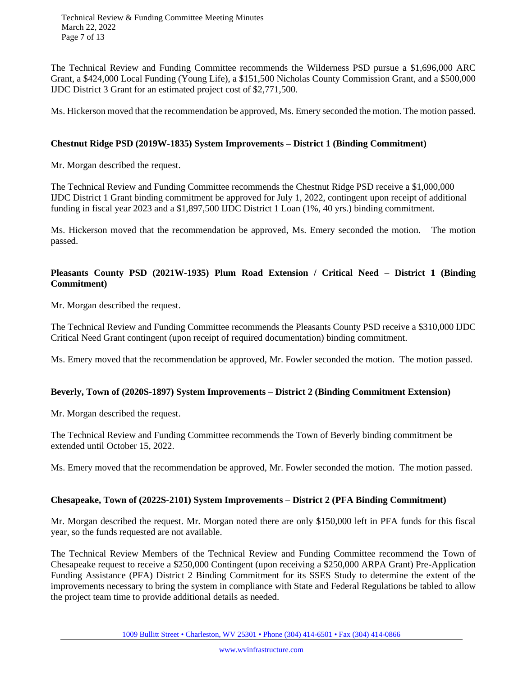Technical Review & Funding Committee Meeting Minutes March 22, 2022 Page 7 of 13

The Technical Review and Funding Committee recommends the Wilderness PSD pursue a \$1,696,000 ARC Grant, a \$424,000 Local Funding (Young Life), a \$151,500 Nicholas County Commission Grant, and a \$500,000 IJDC District 3 Grant for an estimated project cost of \$2,771,500.

Ms. Hickerson moved that the recommendation be approved, Ms. Emery seconded the motion. The motion passed.

# **Chestnut Ridge PSD (2019W-1835) System Improvements – District 1 (Binding Commitment)**

Mr. Morgan described the request.

The Technical Review and Funding Committee recommends the Chestnut Ridge PSD receive a \$1,000,000 IJDC District 1 Grant binding commitment be approved for July 1, 2022, contingent upon receipt of additional funding in fiscal year 2023 and a \$1,897,500 IJDC District 1 Loan (1%, 40 yrs.) binding commitment.

Ms. Hickerson moved that the recommendation be approved, Ms. Emery seconded the motion. The motion passed.

# **Pleasants County PSD (2021W-1935) Plum Road Extension / Critical Need – District 1 (Binding Commitment)**

Mr. Morgan described the request.

The Technical Review and Funding Committee recommends the Pleasants County PSD receive a \$310,000 IJDC Critical Need Grant contingent (upon receipt of required documentation) binding commitment.

Ms. Emery moved that the recommendation be approved, Mr. Fowler seconded the motion. The motion passed.

# **Beverly, Town of (2020S-1897) System Improvements – District 2 (Binding Commitment Extension)**

Mr. Morgan described the request.

The Technical Review and Funding Committee recommends the Town of Beverly binding commitment be extended until October 15, 2022.

Ms. Emery moved that the recommendation be approved, Mr. Fowler seconded the motion. The motion passed.

#### **Chesapeake, Town of (2022S-2101) System Improvements – District 2 (PFA Binding Commitment)**

Mr. Morgan described the request. Mr. Morgan noted there are only \$150,000 left in PFA funds for this fiscal year, so the funds requested are not available.

The Technical Review Members of the Technical Review and Funding Committee recommend the Town of Chesapeake request to receive a \$250,000 Contingent (upon receiving a \$250,000 ARPA Grant) Pre-Application Funding Assistance (PFA) District 2 Binding Commitment for its SSES Study to determine the extent of the improvements necessary to bring the system in compliance with State and Federal Regulations be tabled to allow the project team time to provide additional details as needed.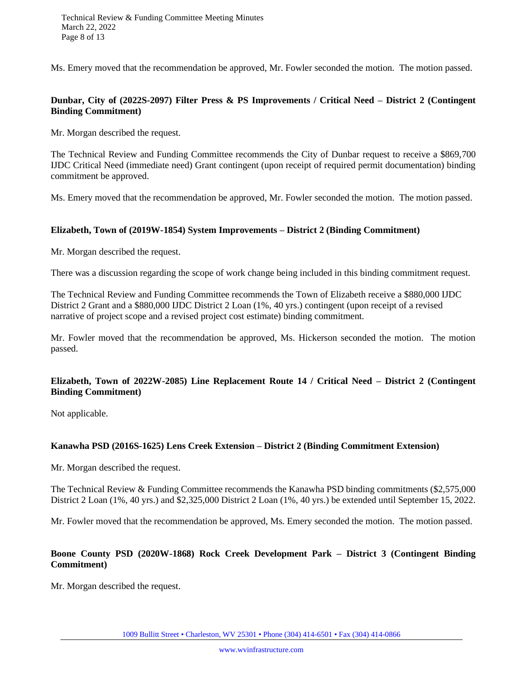Ms. Emery moved that the recommendation be approved, Mr. Fowler seconded the motion. The motion passed.

# **Dunbar, City of (2022S-2097) Filter Press & PS Improvements / Critical Need – District 2 (Contingent Binding Commitment)**

Mr. Morgan described the request.

The Technical Review and Funding Committee recommends the City of Dunbar request to receive a \$869,700 IJDC Critical Need (immediate need) Grant contingent (upon receipt of required permit documentation) binding commitment be approved.

Ms. Emery moved that the recommendation be approved, Mr. Fowler seconded the motion. The motion passed.

### **Elizabeth, Town of (2019W-1854) System Improvements – District 2 (Binding Commitment)**

Mr. Morgan described the request.

There was a discussion regarding the scope of work change being included in this binding commitment request.

The Technical Review and Funding Committee recommends the Town of Elizabeth receive a \$880,000 IJDC District 2 Grant and a \$880,000 IJDC District 2 Loan (1%, 40 yrs.) contingent (upon receipt of a revised narrative of project scope and a revised project cost estimate) binding commitment.

Mr. Fowler moved that the recommendation be approved, Ms. Hickerson seconded the motion. The motion passed.

# **Elizabeth, Town of 2022W-2085) Line Replacement Route 14 / Critical Need – District 2 (Contingent Binding Commitment)**

Not applicable.

# **Kanawha PSD (2016S-1625) Lens Creek Extension – District 2 (Binding Commitment Extension)**

Mr. Morgan described the request.

The Technical Review & Funding Committee recommends the Kanawha PSD binding commitments (\$2,575,000 District 2 Loan (1%, 40 yrs.) and \$2,325,000 District 2 Loan (1%, 40 yrs.) be extended until September 15, 2022.

Mr. Fowler moved that the recommendation be approved, Ms. Emery seconded the motion. The motion passed.

# **Boone County PSD (2020W-1868) Rock Creek Development Park – District 3 (Contingent Binding Commitment)**

Mr. Morgan described the request.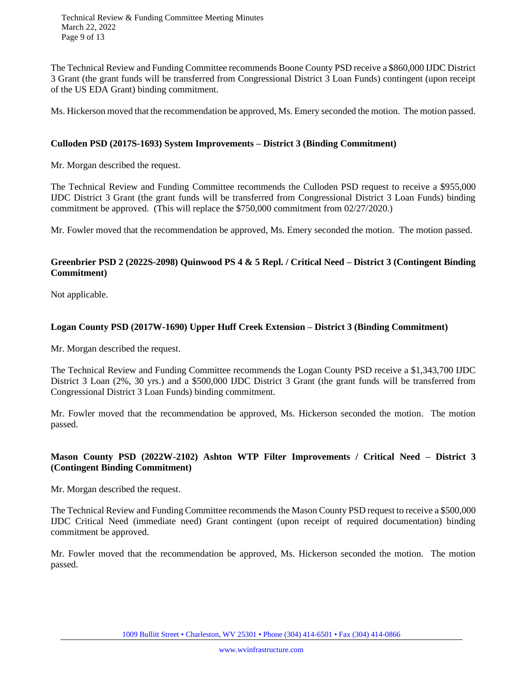Technical Review & Funding Committee Meeting Minutes March 22, 2022 Page 9 of 13

The Technical Review and Funding Committee recommends Boone County PSD receive a \$860,000 IJDC District 3 Grant (the grant funds will be transferred from Congressional District 3 Loan Funds) contingent (upon receipt of the US EDA Grant) binding commitment.

Ms. Hickerson moved that the recommendation be approved, Ms. Emery seconded the motion. The motion passed.

# **Culloden PSD (2017S-1693) System Improvements – District 3 (Binding Commitment)**

Mr. Morgan described the request.

The Technical Review and Funding Committee recommends the Culloden PSD request to receive a \$955,000 IJDC District 3 Grant (the grant funds will be transferred from Congressional District 3 Loan Funds) binding commitment be approved. (This will replace the \$750,000 commitment from 02/27/2020.)

Mr. Fowler moved that the recommendation be approved, Ms. Emery seconded the motion. The motion passed.

# **Greenbrier PSD 2 (2022S-2098) Quinwood PS 4 & 5 Repl. / Critical Need – District 3 (Contingent Binding Commitment)**

Not applicable.

### **Logan County PSD (2017W-1690) Upper Huff Creek Extension – District 3 (Binding Commitment)**

Mr. Morgan described the request.

The Technical Review and Funding Committee recommends the Logan County PSD receive a \$1,343,700 IJDC District 3 Loan (2%, 30 yrs.) and a \$500,000 IJDC District 3 Grant (the grant funds will be transferred from Congressional District 3 Loan Funds) binding commitment.

Mr. Fowler moved that the recommendation be approved, Ms. Hickerson seconded the motion. The motion passed.

# **Mason County PSD (2022W-2102) Ashton WTP Filter Improvements / Critical Need – District 3 (Contingent Binding Commitment)**

Mr. Morgan described the request.

The Technical Review and Funding Committee recommends the Mason County PSD request to receive a \$500,000 IJDC Critical Need (immediate need) Grant contingent (upon receipt of required documentation) binding commitment be approved.

Mr. Fowler moved that the recommendation be approved, Ms. Hickerson seconded the motion. The motion passed.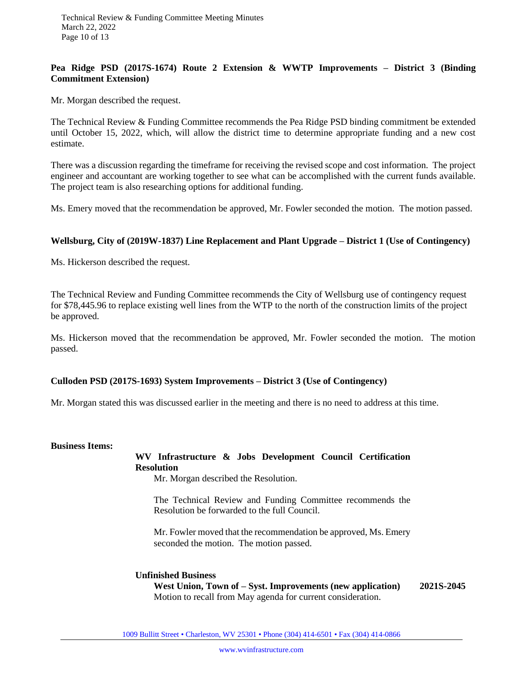# **Pea Ridge PSD (2017S-1674) Route 2 Extension & WWTP Improvements – District 3 (Binding Commitment Extension)**

Mr. Morgan described the request.

The Technical Review & Funding Committee recommends the Pea Ridge PSD binding commitment be extended until October 15, 2022, which, will allow the district time to determine appropriate funding and a new cost estimate.

There was a discussion regarding the timeframe for receiving the revised scope and cost information. The project engineer and accountant are working together to see what can be accomplished with the current funds available. The project team is also researching options for additional funding.

Ms. Emery moved that the recommendation be approved, Mr. Fowler seconded the motion. The motion passed.

### **Wellsburg, City of (2019W-1837) Line Replacement and Plant Upgrade – District 1 (Use of Contingency)**

Ms. Hickerson described the request.

The Technical Review and Funding Committee recommends the City of Wellsburg use of contingency request for \$78,445.96 to replace existing well lines from the WTP to the north of the construction limits of the project be approved.

Ms. Hickerson moved that the recommendation be approved, Mr. Fowler seconded the motion. The motion passed.

# **Culloden PSD (2017S-1693) System Improvements – District 3 (Use of Contingency)**

Mr. Morgan stated this was discussed earlier in the meeting and there is no need to address at this time.

# **Business Items:**

# **WV Infrastructure & Jobs Development Council Certification Resolution**

Mr. Morgan described the Resolution.

The Technical Review and Funding Committee recommends the Resolution be forwarded to the full Council.

Mr. Fowler moved that the recommendation be approved, Ms. Emery seconded the motion. The motion passed.

#### **Unfinished Business**

**West Union, Town of – Syst. Improvements (new application) 2021S-2045** Motion to recall from May agenda for current consideration.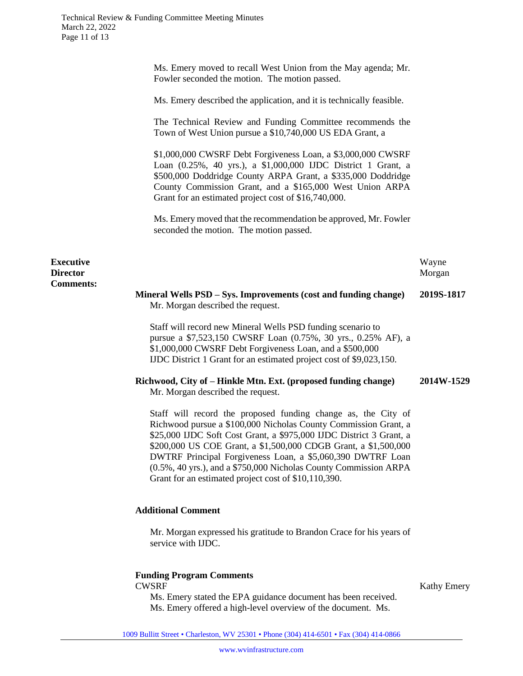Ms. Emery moved to recall West Union from the May agenda; Mr. Fowler seconded the motion. The motion passed. Ms. Emery described the application, and it is technically feasible. The Technical Review and Funding Committee recommends the Town of West Union pursue a \$10,740,000 US EDA Grant, a \$1,000,000 CWSRF Debt Forgiveness Loan, a \$3,000,000 CWSRF Loan (0.25%, 40 yrs.), a \$1,000,000 IJDC District 1 Grant, a \$500,000 Doddridge County ARPA Grant, a \$335,000 Doddridge County Commission Grant, and a \$165,000 West Union ARPA Grant for an estimated project cost of \$16,740,000. Ms. Emery moved that the recommendation be approved, Mr. Fowler seconded the motion. The motion passed. **Executive Director Comments:** Wayne Morgan **Mineral Wells PSD – Sys. Improvements (cost and funding change) 2019S-1817** Mr. Morgan described the request. Staff will record new Mineral Wells PSD funding scenario to pursue a \$7,523,150 CWSRF Loan (0.75%, 30 yrs., 0.25% AF), a \$1,000,000 CWSRF Debt Forgiveness Loan, and a \$500,000 IJDC District 1 Grant for an estimated project cost of \$9,023,150. **Richwood, City of – Hinkle Mtn. Ext. (proposed funding change) 2014W-1529** Mr. Morgan described the request. Staff will record the proposed funding change as, the City of Richwood pursue a \$100,000 Nicholas County Commission Grant, a \$25,000 IJDC Soft Cost Grant, a \$975,000 IJDC District 3 Grant, a \$200,000 US COE Grant, a \$1,500,000 CDGB Grant, a \$1,500,000 DWTRF Principal Forgiveness Loan, a \$5,060,390 DWTRF Loan (0.5%, 40 yrs.), and a \$750,000 Nicholas County Commission ARPA Grant for an estimated project cost of \$10,110,390. **Additional Comment** Mr. Morgan expressed his gratitude to Brandon Crace for his years of service with IJDC.

# **Funding Program Comments**

CWSRF Kathy Emery

Ms. Emery stated the EPA guidance document has been received. Ms. Emery offered a high-level overview of the document. Ms.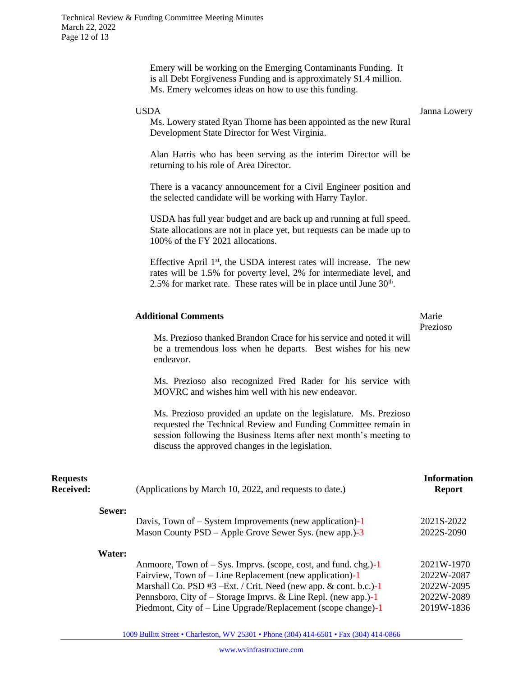|                              |        | is all Debt Forgiveness Funding and is approximately \$1.4 million.<br>Ms. Emery welcomes ideas on how to use this funding.                                                                                                                                  |                                        |
|------------------------------|--------|--------------------------------------------------------------------------------------------------------------------------------------------------------------------------------------------------------------------------------------------------------------|----------------------------------------|
|                              |        | <b>USDA</b><br>Ms. Lowery stated Ryan Thorne has been appointed as the new Rural<br>Development State Director for West Virginia.                                                                                                                            | Janna Lowery                           |
|                              |        | Alan Harris who has been serving as the interim Director will be<br>returning to his role of Area Director.                                                                                                                                                  |                                        |
|                              |        | There is a vacancy announcement for a Civil Engineer position and<br>the selected candidate will be working with Harry Taylor.                                                                                                                               |                                        |
|                              |        | USDA has full year budget and are back up and running at full speed.<br>State allocations are not in place yet, but requests can be made up to<br>100% of the FY 2021 allocations.                                                                           |                                        |
|                              |        | Effective April 1 <sup>st</sup> , the USDA interest rates will increase. The new<br>rates will be 1.5% for poverty level, 2% for intermediate level, and<br>2.5% for market rate. These rates will be in place until June $30th$ .                           |                                        |
|                              |        | <b>Additional Comments</b>                                                                                                                                                                                                                                   | Marie<br>Prezioso                      |
|                              |        | Ms. Prezioso thanked Brandon Crace for his service and noted it will<br>be a tremendous loss when he departs. Best wishes for his new<br>endeavor.                                                                                                           |                                        |
|                              |        | Ms. Prezioso also recognized Fred Rader for his service with<br>MOVRC and wishes him well with his new endeavor.                                                                                                                                             |                                        |
|                              |        | Ms. Prezioso provided an update on the legislature. Ms. Prezioso<br>requested the Technical Review and Funding Committee remain in<br>session following the Business Items after next month's meeting to<br>discuss the approved changes in the legislation. |                                        |
| <b>Requests</b><br>Received: |        | (Applications by March 10, 2022, and requests to date.)                                                                                                                                                                                                      | <b>Information</b><br><b>Report</b>    |
|                              | Sewer: | Davis, Town of $-$ System Improvements (new application)-1                                                                                                                                                                                                   | 2021S-2022                             |
|                              |        | Mason County $PSD - Apple$ Grove Sewer Sys. (new app.)-3                                                                                                                                                                                                     | 2022S-2090                             |
|                              | Water: | Anmoore, Town of $-$ Sys. Imprvs. (scope, cost, and fund. chg.)-1<br>Fairview, Town of – Line Replacement (new application)-1<br>Marshall Co. PSD #3 - Ext. / Crit. Need (new app. & cont. b.c.)-1                                                           | 2021W-1970<br>2022W-2087<br>2022W-2095 |

Emery will be working on the Emerging Contaminants Funding. It

1009 Bullitt Street • Charleston, WV 25301 • Phone (304) 414-6501 • Fax (304) 414-0866

Pennsboro, City of – Storage Imprvs. & Line Repl. (new app.)-1 2022W-2089 Piedmont, City of – Line Upgrade/Replacement (scope change)-1 2019W-1836